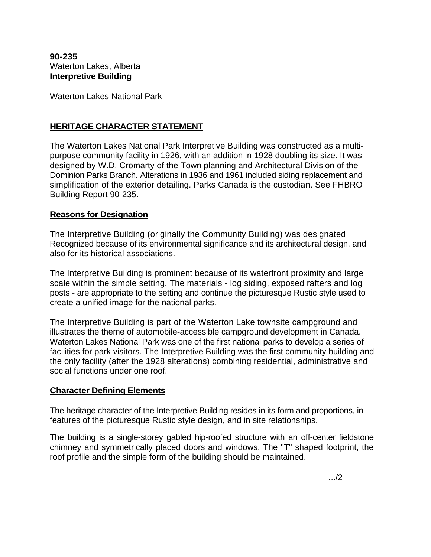**90-235**  Waterton Lakes, Alberta **Interpretive Building** 

Waterton Lakes National Park

## **HERITAGE CHARACTER STATEMENT**

The Waterton Lakes National Park Interpretive Building was constructed as a multipurpose community facility in 1926, with an addition in 1928 doubling its size. It was designed by W.D. Cromarty of the Town planning and Architectural Division of the Dominion Parks Branch. Alterations in 1936 and 1961 included siding replacement and simplification of the exterior detailing. Parks Canada is the custodian. See FHBRO Building Report 90-235.

## **Reasons for Designation**

The Interpretive Building (originally the Community Building) was designated Recognized because of its environmental significance and its architectural design, and also for its historical associations.

The Interpretive Building is prominent because of its waterfront proximity and large scale within the simple setting. The materials - log siding, exposed rafters and log posts - are appropriate to the setting and continue the picturesque Rustic style used to create a unified image for the national parks.

The Interpretive Building is part of the Waterton Lake townsite campground and illustrates the theme of automobile-accessible campground development in Canada. Waterton Lakes National Park was one of the first national parks to develop a series of facilities for park visitors. The Interpretive Building was the first community building and the only facility (after the 1928 alterations) combining residential, administrative and social functions under one roof.

## **Character Defining Elements**

The heritage character of the Interpretive Building resides in its form and proportions, in features of the picturesque Rustic style design, and in site relationships.

The building is a single-storey gabled hip-roofed structure with an off-center fieldstone chimney and symmetrically placed doors and windows. The "T" shaped footprint, the roof profile and the simple form of the building should be maintained.